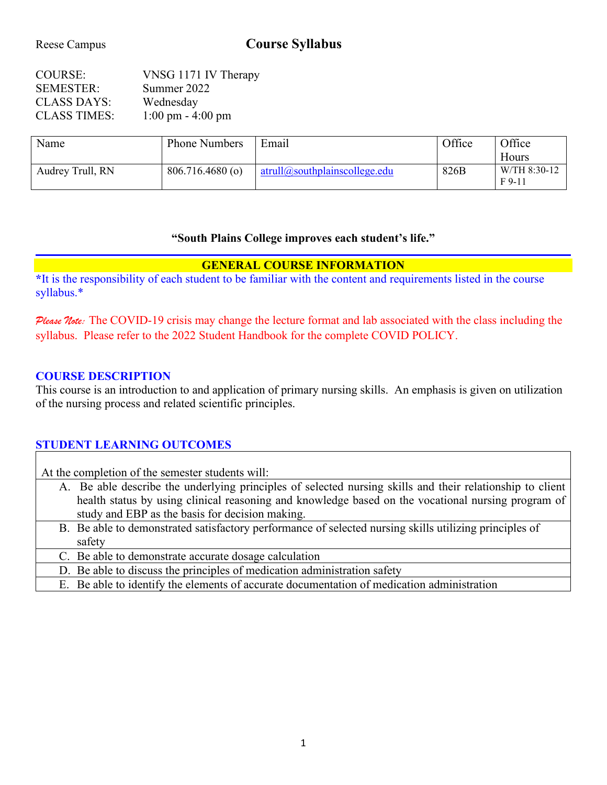# Reese Campus **Course Syllabus**

| COURSE:             | VNSG 1171 IV Therapy                |
|---------------------|-------------------------------------|
| <b>SEMESTER:</b>    | Summer 2022                         |
| <b>CLASS DAYS:</b>  | Wednesday                           |
| <b>CLASS TIMES:</b> | $1:00 \text{ pm} - 4:00 \text{ pm}$ |

| Name             | <b>Phone Numbers</b> | Email                              |      | Office                     |  | Office |  |
|------------------|----------------------|------------------------------------|------|----------------------------|--|--------|--|
|                  |                      |                                    |      | Hours                      |  |        |  |
| Audrey Trull, RN | $806.716.4680$ (o)   | $artull(a)$ southplainscollege.edu | 826B | W/TH 8:30-12<br>$F_{9-11}$ |  |        |  |

#### **"South Plains College improves each student's life."**

### **GENERAL COURSE INFORMATION**

**\***It is the responsibility of each student to be familiar with the content and requirements listed in the course syllabus.\*

Please Note: The COVID-19 crisis may change the lecture format and lab associated with the class including the syllabus. Please refer to the 2022 Student Handbook for the complete COVID POLICY.

### **COURSE DESCRIPTION**

This course is an introduction to and application of primary nursing skills. An emphasis is given on utilization of the nursing process and related scientific principles.

# **STUDENT LEARNING OUTCOMES**

At the completion of the semester students will:

- A. Be able describe the underlying principles of selected nursing skills and their relationship to client health status by using clinical reasoning and knowledge based on the vocational nursing program of study and EBP as the basis for decision making.
- B. Be able to demonstrated satisfactory performance of selected nursing skills utilizing principles of safety

C. Be able to demonstrate accurate dosage calculation

D. Be able to discuss the principles of medication administration safety

E. Be able to identify the elements of accurate documentation of medication administration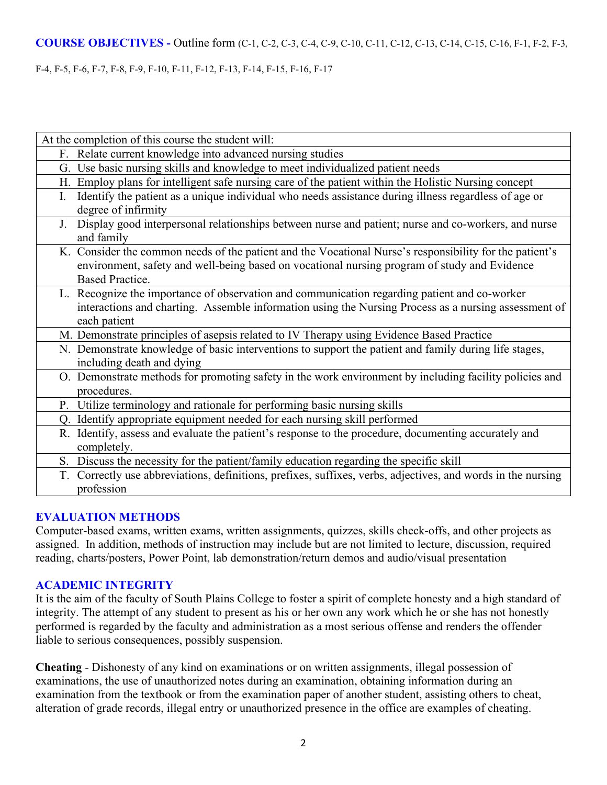### **COURSE OBJECTIVES -** Outline form (C-1, C-2, C-3, C-4, C-9, C-10, C-11, C-12, C-13, C-14, C-15, C-16, F-1, F-2, F-3,

#### F-4, F-5, F-6, F-7, F-8, F-9, F-10, F-11, F-12, F-13, F-14, F-15, F-16, F-17

| At the completion of this course the student will:                                                                                                                                                                                |
|-----------------------------------------------------------------------------------------------------------------------------------------------------------------------------------------------------------------------------------|
| F. Relate current knowledge into advanced nursing studies                                                                                                                                                                         |
| G. Use basic nursing skills and knowledge to meet individualized patient needs                                                                                                                                                    |
| H. Employ plans for intelligent safe nursing care of the patient within the Holistic Nursing concept                                                                                                                              |
| Identify the patient as a unique individual who needs assistance during illness regardless of age or<br>I.<br>degree of infirmity                                                                                                 |
| Display good interpersonal relationships between nurse and patient; nurse and co-workers, and nurse<br>J.<br>and family                                                                                                           |
| K. Consider the common needs of the patient and the Vocational Nurse's responsibility for the patient's<br>environment, safety and well-being based on vocational nursing program of study and Evidence<br><b>Based Practice.</b> |
| L. Recognize the importance of observation and communication regarding patient and co-worker<br>interactions and charting. Assemble information using the Nursing Process as a nursing assessment of<br>each patient              |
| M. Demonstrate principles of asepsis related to IV Therapy using Evidence Based Practice                                                                                                                                          |
| N. Demonstrate knowledge of basic interventions to support the patient and family during life stages,<br>including death and dying                                                                                                |
| O. Demonstrate methods for promoting safety in the work environment by including facility policies and<br>procedures.                                                                                                             |
| P. Utilize terminology and rationale for performing basic nursing skills                                                                                                                                                          |
| Q. Identify appropriate equipment needed for each nursing skill performed                                                                                                                                                         |
| R. Identify, assess and evaluate the patient's response to the procedure, documenting accurately and<br>completely.                                                                                                               |
| S. Discuss the necessity for the patient/family education regarding the specific skill                                                                                                                                            |
| Correctly use abbreviations, definitions, prefixes, suffixes, verbs, adjectives, and words in the nursing<br>T.<br>profession                                                                                                     |

### **EVALUATION METHODS**

Computer-based exams, written exams, written assignments, quizzes, skills check-offs, and other projects as assigned. In addition, methods of instruction may include but are not limited to lecture, discussion, required reading, charts/posters, Power Point, lab demonstration/return demos and audio/visual presentation

### **ACADEMIC INTEGRITY**

It is the aim of the faculty of South Plains College to foster a spirit of complete honesty and a high standard of integrity. The attempt of any student to present as his or her own any work which he or she has not honestly performed is regarded by the faculty and administration as a most serious offense and renders the offender liable to serious consequences, possibly suspension.

**Cheating** - Dishonesty of any kind on examinations or on written assignments, illegal possession of examinations, the use of unauthorized notes during an examination, obtaining information during an examination from the textbook or from the examination paper of another student, assisting others to cheat, alteration of grade records, illegal entry or unauthorized presence in the office are examples of cheating.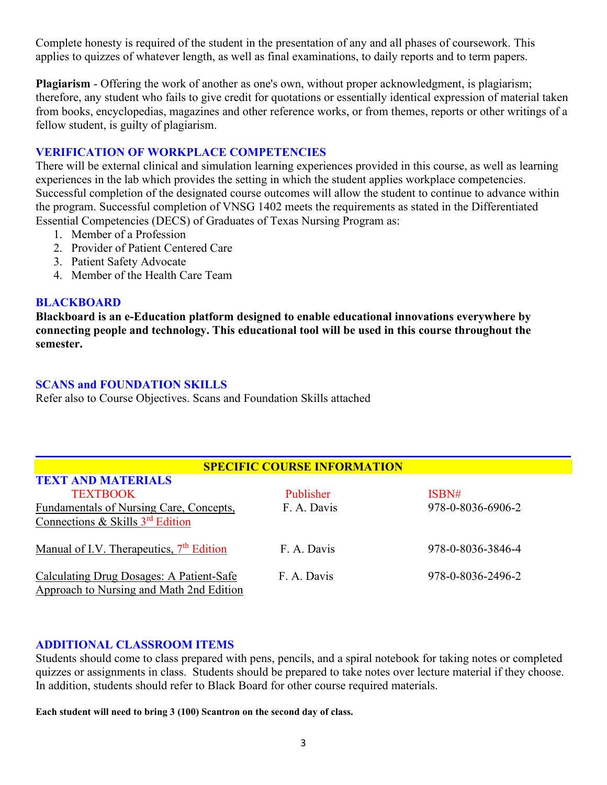Complete honesty is required of the student in the presentation of any and all phases of coursework. This applies to quizzes of whatever length, as well as final examinations, to daily reports and to term papers.

**Plagiarism** - Offering the work of another as one's own, without proper acknowledgment, is plagiarism; therefore, any student who fails to give credit for quotations or essentially identical expression of material taken from books, encyclopedias, magazines and other reference works, or from themes, reports or other writings of a fellow student, is guilty of plagiarism.

### **VERIFICATION OF WORKPLACE COMPETENCIES**

There will be external clinical and simulation learning experiences provided in this course, as well as learning experiences in the lab which provides the setting in which the student applies workplace competencies. Successful completion of the designated course outcomes will allow the student to continue to advance within the program. Successful completion of VNSG 1402 meets the requirements as stated in the Differentiated Essential Competencies (DECS) of Graduates of Texas Nursing Program as:

- 1. Member of a Profession
- 2. Provider of Patient Centered Care
- 3. Patient Safety Advocate
- 4. Member of the Health Care Team

#### **BLACKBOARD**

**Blackboard is an e-Education platform designed to enable educational innovations everywhere by connecting people and technology. This educational tool will be used in this course throughout the semester.** 

#### **SCANS and FOUNDATION SKILLS**

**TEXT AND MATERIALS**

Refer also to Course Objectives. Scans and Foundation Skills attached

#### **SPECIFIC COURSE INFORMATION**

| <u>TEZA EZARREGIA ERREGIA EZ</u>                     |             |                   |
|------------------------------------------------------|-------------|-------------------|
| <b>TEXTBOOK</b>                                      | Publisher   | ISBN#             |
| Fundamentals of Nursing Care, Concepts,              | F. A. Davis | 978-0-8036-6906-2 |
| Connections & Skills $3rd$ Edition                   |             |                   |
|                                                      |             |                   |
| Manual of I.V. Therapeutics, 7 <sup>th</sup> Edition | F. A. Davis | 978-0-8036-3846-4 |
|                                                      |             |                   |
| Calculating Drug Dosages: A Patient-Safe             | F. A. Davis | 978-0-8036-2496-2 |
| Approach to Nursing and Math 2nd Edition             |             |                   |

#### **ADDITIONAL CLASSROOM ITEMS**

Students should come to class prepared with pens, pencils, and a spiral notebook for taking notes or completed quizzes or assignments in class. Students should be prepared to take notes over lecture material if they choose. In addition, students should refer to Black Board for other course required materials.

**Each student will need to bring 3 (100) Scantron on the second day of class.**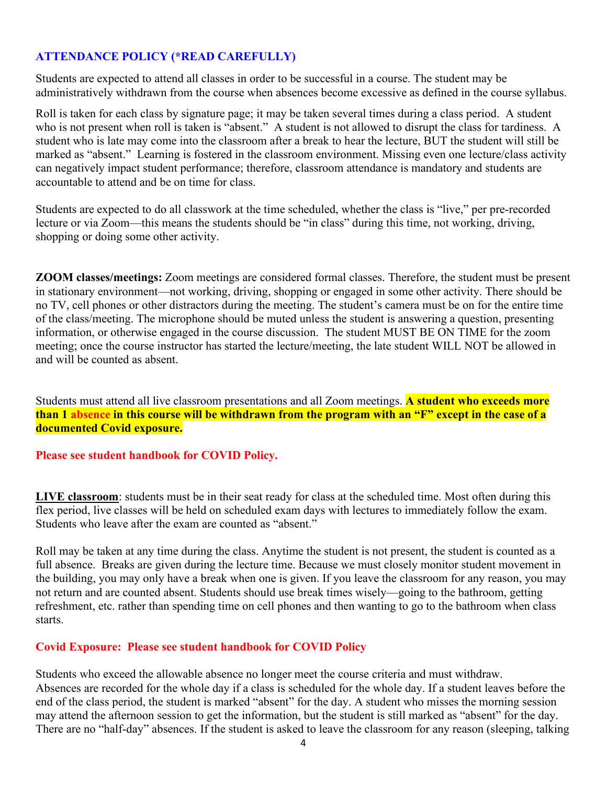### **ATTENDANCE POLICY (\*READ CAREFULLY)**

Students are expected to attend all classes in order to be successful in a course. The student may be administratively withdrawn from the course when absences become excessive as defined in the course syllabus.

Roll is taken for each class by signature page; it may be taken several times during a class period. A student who is not present when roll is taken is "absent." A student is not allowed to disrupt the class for tardiness. A student who is late may come into the classroom after a break to hear the lecture, BUT the student will still be marked as "absent." Learning is fostered in the classroom environment. Missing even one lecture/class activity can negatively impact student performance; therefore, classroom attendance is mandatory and students are accountable to attend and be on time for class.

Students are expected to do all classwork at the time scheduled, whether the class is "live," per pre-recorded lecture or via Zoom—this means the students should be "in class" during this time, not working, driving, shopping or doing some other activity.

**ZOOM classes/meetings:** Zoom meetings are considered formal classes. Therefore, the student must be present in stationary environment—not working, driving, shopping or engaged in some other activity. There should be no TV, cell phones or other distractors during the meeting. The student's camera must be on for the entire time of the class/meeting. The microphone should be muted unless the student is answering a question, presenting information, or otherwise engaged in the course discussion. The student MUST BE ON TIME for the zoom meeting; once the course instructor has started the lecture/meeting, the late student WILL NOT be allowed in and will be counted as absent.

Students must attend all live classroom presentations and all Zoom meetings. **A student who exceeds more than 1 absence in this course will be withdrawn from the program with an "F" except in the case of a documented Covid exposure.**

#### **Please see student handbook for COVID Policy.**

**LIVE classroom**: students must be in their seat ready for class at the scheduled time. Most often during this flex period, live classes will be held on scheduled exam days with lectures to immediately follow the exam. Students who leave after the exam are counted as "absent."

Roll may be taken at any time during the class. Anytime the student is not present, the student is counted as a full absence. Breaks are given during the lecture time. Because we must closely monitor student movement in the building, you may only have a break when one is given. If you leave the classroom for any reason, you may not return and are counted absent. Students should use break times wisely—going to the bathroom, getting refreshment, etc. rather than spending time on cell phones and then wanting to go to the bathroom when class starts.

### **Covid Exposure: Please see student handbook for COVID Policy**

Students who exceed the allowable absence no longer meet the course criteria and must withdraw. Absences are recorded for the whole day if a class is scheduled for the whole day. If a student leaves before the end of the class period, the student is marked "absent" for the day. A student who misses the morning session may attend the afternoon session to get the information, but the student is still marked as "absent" for the day. There are no "half-day" absences. If the student is asked to leave the classroom for any reason (sleeping, talking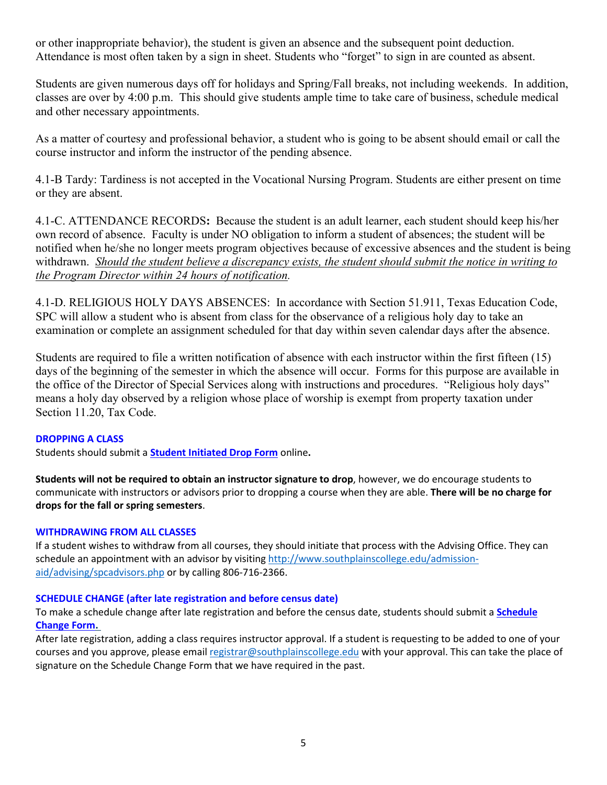or other inappropriate behavior), the student is given an absence and the subsequent point deduction. Attendance is most often taken by a sign in sheet. Students who "forget" to sign in are counted as absent.

Students are given numerous days off for holidays and Spring/Fall breaks, not including weekends. In addition, classes are over by 4:00 p.m. This should give students ample time to take care of business, schedule medical and other necessary appointments.

As a matter of courtesy and professional behavior, a student who is going to be absent should email or call the course instructor and inform the instructor of the pending absence.

4.1-B Tardy: Tardiness is not accepted in the Vocational Nursing Program. Students are either present on time or they are absent.

4.1-C. ATTENDANCE RECORDS**:** Because the student is an adult learner, each student should keep his/her own record of absence. Faculty is under NO obligation to inform a student of absences; the student will be notified when he/she no longer meets program objectives because of excessive absences and the student is being withdrawn. *Should the student believe a discrepancy exists, the student should submit the notice in writing to the Program Director within 24 hours of notification.*

4.1-D. RELIGIOUS HOLY DAYS ABSENCES: In accordance with Section 51.911, Texas Education Code, SPC will allow a student who is absent from class for the observance of a religious holy day to take an examination or complete an assignment scheduled for that day within seven calendar days after the absence.

Students are required to file a written notification of absence with each instructor within the first fifteen (15) days of the beginning of the semester in which the absence will occur. Forms for this purpose are available in the office of the Director of Special Services along with instructions and procedures. "Religious holy days" means a holy day observed by a religion whose place of worship is exempt from property taxation under Section 11.20, Tax Code.

#### **DROPPING A CLASS**

Students should submit a **Student [Initiated](https://forms.office.com/Pages/ResponsePage.aspx?id=ZrGRbWrP6UWeIqAmJdCCqRkmPIpp6AVCixFJfcqITt9UODExTUFXS0JOODhJOTlYM0NEV1kzRk9GMS4u) Drop Form** online**.** 

**Students will not be required to obtain an instructor signature to drop**, however, we do encourage students to communicate with instructors or advisors prior to dropping a course when they are able. **There will be no charge for drops for the fall or spring semesters**.

#### **WITHDRAWING FROM ALL CLASSES**

If a student wishes to withdraw from all courses, they should initiate that process with the Advising Office. They can schedule an appointment with an advisor by visiting [http://www.southplainscollege.edu/admission](http://www.southplainscollege.edu/admission-aid/advising/spcadvisors.php)[aid/advising/spcadvisors.php](http://www.southplainscollege.edu/admission-aid/advising/spcadvisors.php) or by calling 806-716-2366.

#### **SCHEDULE CHANGE (after late registration and before census date)**

To make a schedule change after late registration and before the census date, students should submit a **[Schedule](https://forms.office.com/Pages/ResponsePage.aspx?id=ZrGRbWrP6UWeIqAmJdCCqRkmPIpp6AVCixFJfcqITt9UODIyTkRZSkFHVDNSVFRFV0g0T0tVWVAwRi4u) [Change](https://forms.office.com/Pages/ResponsePage.aspx?id=ZrGRbWrP6UWeIqAmJdCCqRkmPIpp6AVCixFJfcqITt9UODIyTkRZSkFHVDNSVFRFV0g0T0tVWVAwRi4u) Form.** 

After late registration, adding a class requires instructor approval. If a student is requesting to be added to one of your courses and you approve, please email [registrar@southplainscollege.edu](mailto:registrar@southplainscollege.edu) with your approval. This can take the place of signature on the Schedule Change Form that we have required in the past.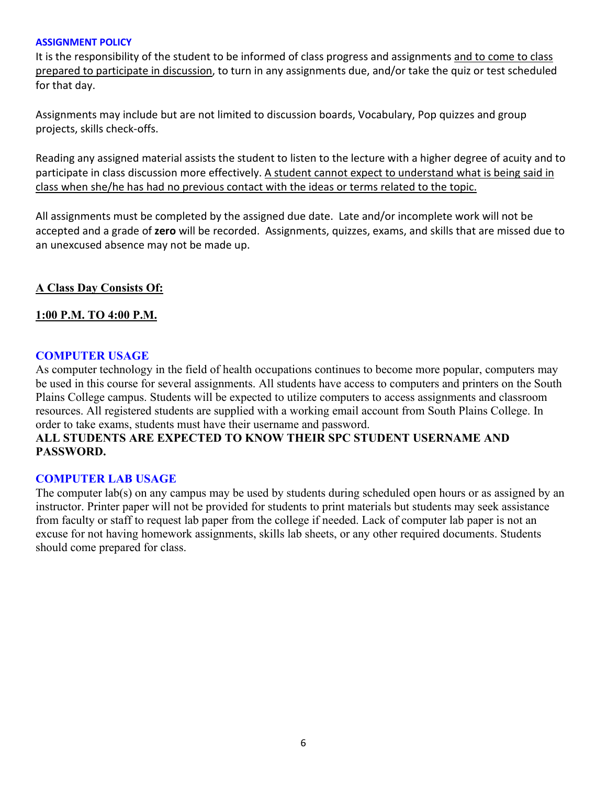#### **ASSIGNMENT POLICY**

It is the responsibility of the student to be informed of class progress and assignments and to come to class prepared to participate in discussion, to turn in any assignments due, and/or take the quiz or test scheduled for that day.

Assignments may include but are not limited to discussion boards, Vocabulary, Pop quizzes and group projects, skills check-offs.

Reading any assigned material assists the student to listen to the lecture with a higher degree of acuity and to participate in class discussion more effectively. A student cannot expect to understand what is being said in class when she/he has had no previous contact with the ideas or terms related to the topic.

All assignments must be completed by the assigned due date. Late and/or incomplete work will not be accepted and a grade of **zero** will be recorded. Assignments, quizzes, exams, and skills that are missed due to an unexcused absence may not be made up.

#### **A Class Day Consists Of:**

#### **1:00 P.M. TO 4:00 P.M.**

#### **COMPUTER USAGE**

As computer technology in the field of health occupations continues to become more popular, computers may be used in this course for several assignments. All students have access to computers and printers on the South Plains College campus. Students will be expected to utilize computers to access assignments and classroom resources. All registered students are supplied with a working email account from South Plains College. In order to take exams, students must have their username and password.

### **ALL STUDENTS ARE EXPECTED TO KNOW THEIR SPC STUDENT USERNAME AND PASSWORD.**

#### **COMPUTER LAB USAGE**

The computer lab(s) on any campus may be used by students during scheduled open hours or as assigned by an instructor. Printer paper will not be provided for students to print materials but students may seek assistance from faculty or staff to request lab paper from the college if needed. Lack of computer lab paper is not an excuse for not having homework assignments, skills lab sheets, or any other required documents. Students should come prepared for class.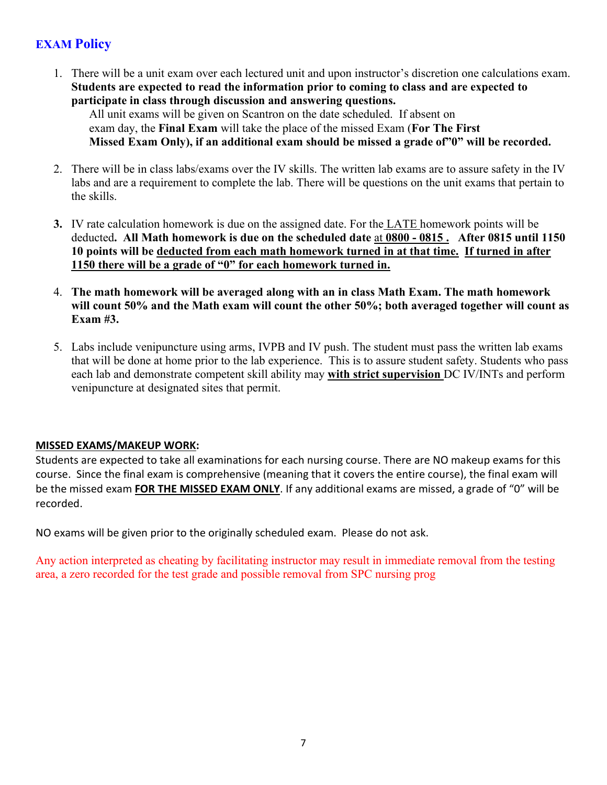# **EXAM Policy**

1. There will be a unit exam over each lectured unit and upon instructor's discretion one calculations exam. **Students are expected to read the information prior to coming to class and are expected to participate in class through discussion and answering questions.**

All unit exams will be given on Scantron on the date scheduled. If absent on exam day, the **Final Exam** will take the place of the missed Exam (**For The First Missed Exam Only), if an additional exam should be missed a grade of"0" will be recorded.**

- 2. There will be in class labs/exams over the IV skills. The written lab exams are to assure safety in the IV labs and are a requirement to complete the lab. There will be questions on the unit exams that pertain to the skills.
- **3.** IV rate calculation homework is due on the assigned date. For the LATE homework points will be deducted**. All Math homework is due on the scheduled date** at **0800 - 0815 . After 0815 until 1150 10 points will be deducted from each math homework turned in at that time. If turned in after 1150 there will be a grade of "0" for each homework turned in.**
- 4. **The math homework will be averaged along with an in class Math Exam. The math homework will count 50% and the Math exam will count the other 50%; both averaged together will count as Exam #3.**
- 5. Labs include venipuncture using arms, IVPB and IV push. The student must pass the written lab exams that will be done at home prior to the lab experience. This is to assure student safety. Students who pass each lab and demonstrate competent skill ability may **with strict supervision** DC IV/INTs and perform venipuncture at designated sites that permit.

### **MISSED EXAMS/MAKEUP WORK:**

Students are expected to take all examinations for each nursing course. There are NO makeup exams for this course. Since the final exam is comprehensive (meaning that it covers the entire course), the final exam will be the missed exam **FOR THE MISSED EXAM ONLY**. If any additional exams are missed, a grade of "0" will be recorded.

NO exams will be given prior to the originally scheduled exam. Please do not ask.

Any action interpreted as cheating by facilitating instructor may result in immediate removal from the testing area, a zero recorded for the test grade and possible removal from SPC nursing prog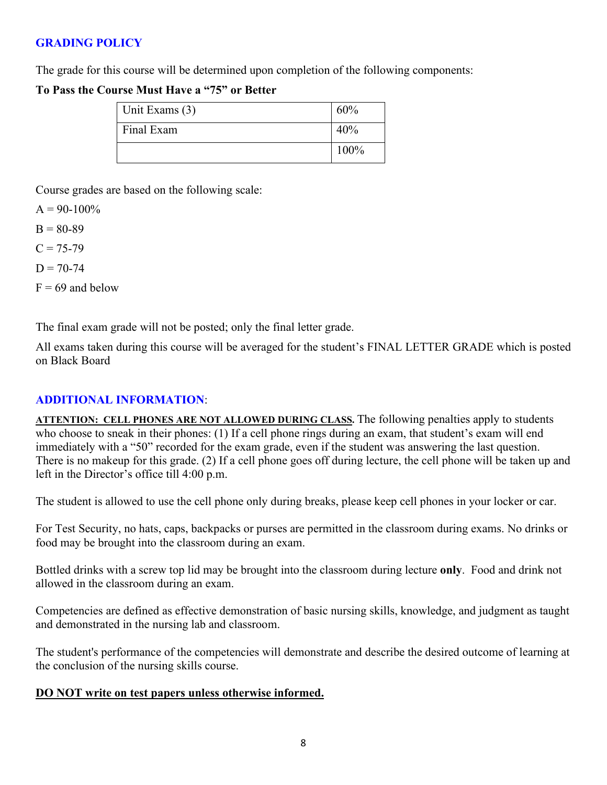# **GRADING POLICY**

The grade for this course will be determined upon completion of the following components:

### **To Pass the Course Must Have a "75" or Better**

| Unit Exams (3) | 60%  |
|----------------|------|
| Final Exam     | 40%  |
|                | 100% |

Course grades are based on the following scale:

 $A = 90-100\%$  $B = 80-89$  $C = 75 - 79$  $D = 70-74$ 

 $F = 69$  and below

The final exam grade will not be posted; only the final letter grade.

All exams taken during this course will be averaged for the student's FINAL LETTER GRADE which is posted on Black Board

# **ADDITIONAL INFORMATION**:

**ATTENTION: CELL PHONES ARE NOT ALLOWED DURING CLASS.** The following penalties apply to students who choose to sneak in their phones: (1) If a cell phone rings during an exam, that student's exam will end immediately with a "50" recorded for the exam grade, even if the student was answering the last question. There is no makeup for this grade. (2) If a cell phone goes off during lecture, the cell phone will be taken up and left in the Director's office till 4:00 p.m.

The student is allowed to use the cell phone only during breaks, please keep cell phones in your locker or car.

For Test Security, no hats, caps, backpacks or purses are permitted in the classroom during exams. No drinks or food may be brought into the classroom during an exam.

Bottled drinks with a screw top lid may be brought into the classroom during lecture **only**. Food and drink not allowed in the classroom during an exam.

Competencies are defined as effective demonstration of basic nursing skills, knowledge, and judgment as taught and demonstrated in the nursing lab and classroom.

The student's performance of the competencies will demonstrate and describe the desired outcome of learning at the conclusion of the nursing skills course.

# **DO NOT write on test papers unless otherwise informed.**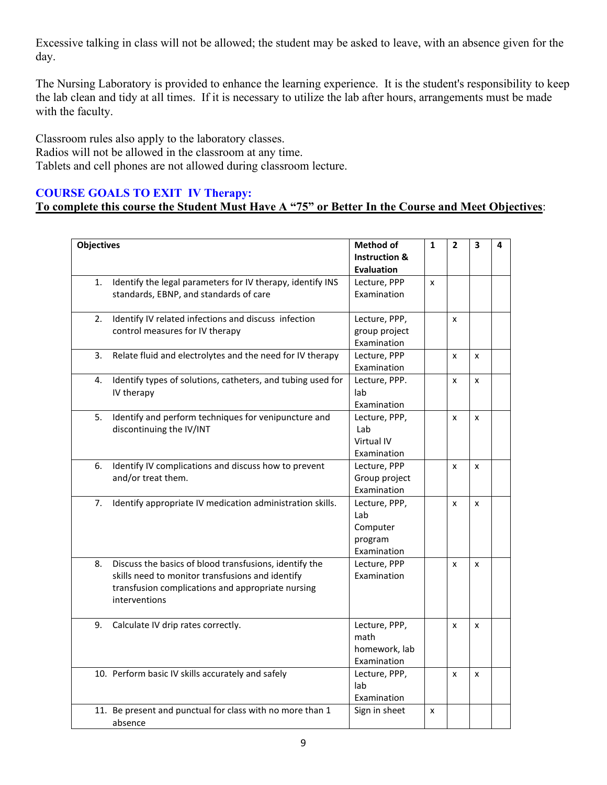Excessive talking in class will not be allowed; the student may be asked to leave, with an absence given for the day.

The Nursing Laboratory is provided to enhance the learning experience. It is the student's responsibility to keep the lab clean and tidy at all times. If it is necessary to utilize the lab after hours, arrangements must be made with the faculty.

Classroom rules also apply to the laboratory classes. Radios will not be allowed in the classroom at any time. Tablets and cell phones are not allowed during classroom lecture.

# **COURSE GOALS TO EXIT IV Therapy:**

# **To complete this course the Student Must Have A "75" or Better In the Course and Meet Objectives**:

| <b>Objectives</b> |                                                             | <b>Method of</b>         | $\mathbf{1}$ | $\overline{2}$ | 3 | 4 |
|-------------------|-------------------------------------------------------------|--------------------------|--------------|----------------|---|---|
|                   |                                                             | <b>Instruction &amp;</b> |              |                |   |   |
|                   |                                                             | <b>Evaluation</b>        |              |                |   |   |
| 1.                | Identify the legal parameters for IV therapy, identify INS  | Lecture, PPP             | $\mathsf{x}$ |                |   |   |
|                   | standards, EBNP, and standards of care                      | Examination              |              |                |   |   |
|                   |                                                             |                          |              |                |   |   |
| 2.                | Identify IV related infections and discuss infection        | Lecture, PPP,            |              | x              |   |   |
|                   | control measures for IV therapy                             | group project            |              |                |   |   |
|                   |                                                             | Examination              |              |                |   |   |
| 3.                | Relate fluid and electrolytes and the need for IV therapy   | Lecture, PPP             |              | x              | x |   |
|                   |                                                             | Examination              |              |                |   |   |
| 4.                | Identify types of solutions, catheters, and tubing used for | Lecture, PPP.            |              | x              | x |   |
|                   | IV therapy                                                  | lab                      |              |                |   |   |
|                   |                                                             | Examination              |              |                |   |   |
| 5.                | Identify and perform techniques for venipuncture and        | Lecture, PPP,<br>Lab     |              | x              | x |   |
|                   | discontinuing the IV/INT                                    | Virtual IV               |              |                |   |   |
|                   |                                                             | Examination              |              |                |   |   |
|                   | Identify IV complications and discuss how to prevent        | Lecture, PPP             |              |                |   |   |
| 6.                | and/or treat them.                                          | Group project            |              | x              | X |   |
|                   |                                                             | Examination              |              |                |   |   |
| 7.                |                                                             |                          |              |                |   |   |
|                   | Identify appropriate IV medication administration skills.   | Lecture, PPP,<br>Lab     |              | x              | X |   |
|                   |                                                             | Computer                 |              |                |   |   |
|                   |                                                             | program                  |              |                |   |   |
|                   |                                                             | Examination              |              |                |   |   |
| 8.                | Discuss the basics of blood transfusions, identify the      | Lecture, PPP             |              | x              | X |   |
|                   | skills need to monitor transfusions and identify            | Examination              |              |                |   |   |
|                   | transfusion complications and appropriate nursing           |                          |              |                |   |   |
|                   | interventions                                               |                          |              |                |   |   |
|                   |                                                             |                          |              |                |   |   |
| 9.                | Calculate IV drip rates correctly.                          | Lecture, PPP,            |              | x              | x |   |
|                   |                                                             | math                     |              |                |   |   |
|                   |                                                             | homework, lab            |              |                |   |   |
|                   |                                                             | Examination              |              |                |   |   |
|                   | 10. Perform basic IV skills accurately and safely           | Lecture, PPP,            |              | x              | X |   |
|                   |                                                             | lab                      |              |                |   |   |
|                   |                                                             | Examination              |              |                |   |   |
|                   | 11. Be present and punctual for class with no more than 1   | Sign in sheet            | X            |                |   |   |
|                   | absence                                                     |                          |              |                |   |   |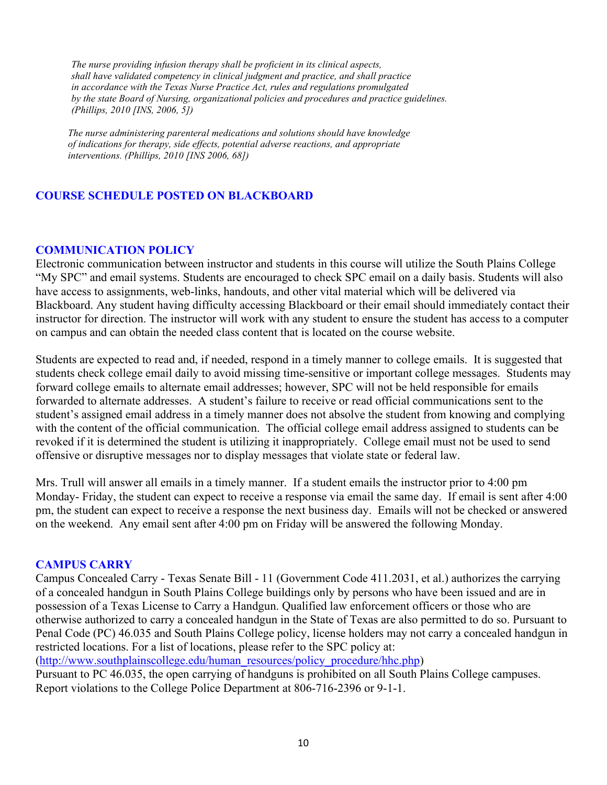*The nurse providing infusion therapy shall be proficient in its clinical aspects, shall have validated competency in clinical judgment and practice, and shall practice in accordance with the Texas Nurse Practice Act, rules and regulations promulgated by the state Board of Nursing, organizational policies and procedures and practice guidelines. (Phillips, 2010 [INS, 2006, 5])*

 *The nurse administering parenteral medications and solutions should have knowledge of indications for therapy, side effects, potential adverse reactions, and appropriate interventions. (Phillips, 2010 [INS 2006, 68])*

### **COURSE SCHEDULE POSTED ON BLACKBOARD**

#### **COMMUNICATION POLICY**

Electronic communication between instructor and students in this course will utilize the South Plains College "My SPC" and email systems. Students are encouraged to check SPC email on a daily basis. Students will also have access to assignments, web-links, handouts, and other vital material which will be delivered via Blackboard. Any student having difficulty accessing Blackboard or their email should immediately contact their instructor for direction. The instructor will work with any student to ensure the student has access to a computer on campus and can obtain the needed class content that is located on the course website.

Students are expected to read and, if needed, respond in a timely manner to college emails. It is suggested that students check college email daily to avoid missing time-sensitive or important college messages. Students may forward college emails to alternate email addresses; however, SPC will not be held responsible for emails forwarded to alternate addresses. A student's failure to receive or read official communications sent to the student's assigned email address in a timely manner does not absolve the student from knowing and complying with the content of the official communication. The official college email address assigned to students can be revoked if it is determined the student is utilizing it inappropriately. College email must not be used to send offensive or disruptive messages nor to display messages that violate state or federal law.

Mrs. Trull will answer all emails in a timely manner. If a student emails the instructor prior to 4:00 pm Monday- Friday, the student can expect to receive a response via email the same day. If email is sent after 4:00 pm, the student can expect to receive a response the next business day. Emails will not be checked or answered on the weekend. Any email sent after 4:00 pm on Friday will be answered the following Monday.

#### **CAMPUS CARRY**

Campus Concealed Carry - Texas Senate Bill - 11 (Government Code 411.2031, et al.) authorizes the carrying of a concealed handgun in South Plains College buildings only by persons who have been issued and are in possession of a Texas License to Carry a Handgun. Qualified law enforcement officers or those who are otherwise authorized to carry a concealed handgun in the State of Texas are also permitted to do so. Pursuant to Penal Code (PC) 46.035 and South Plains College policy, license holders may not carry a concealed handgun in restricted locations. For a list of locations, please refer to the SPC policy at:

[\(http://www.southplainscollege.edu/human\\_resources/policy\\_procedure/hhc.php\)](http://www.southplainscollege.edu/human_resources/policy_procedure/hhc.php)

Pursuant to PC 46.035, the open carrying of handguns is prohibited on all South Plains College campuses. Report violations to the College Police Department at 806-716-2396 or 9-1-1.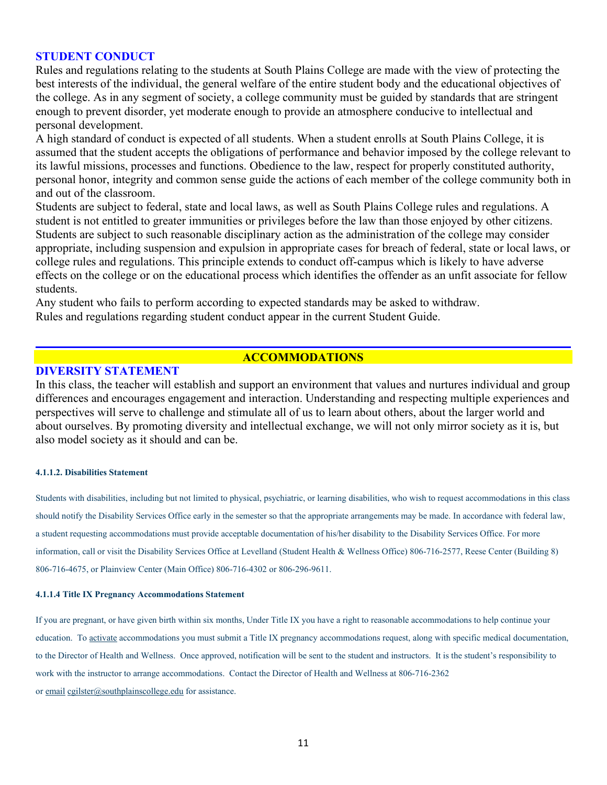#### **STUDENT CONDUCT**

Rules and regulations relating to the students at South Plains College are made with the view of protecting the best interests of the individual, the general welfare of the entire student body and the educational objectives of the college. As in any segment of society, a college community must be guided by standards that are stringent enough to prevent disorder, yet moderate enough to provide an atmosphere conducive to intellectual and personal development.

A high standard of conduct is expected of all students. When a student enrolls at South Plains College, it is assumed that the student accepts the obligations of performance and behavior imposed by the college relevant to its lawful missions, processes and functions. Obedience to the law, respect for properly constituted authority, personal honor, integrity and common sense guide the actions of each member of the college community both in and out of the classroom.

Students are subject to federal, state and local laws, as well as South Plains College rules and regulations. A student is not entitled to greater immunities or privileges before the law than those enjoyed by other citizens. Students are subject to such reasonable disciplinary action as the administration of the college may consider appropriate, including suspension and expulsion in appropriate cases for breach of federal, state or local laws, or college rules and regulations. This principle extends to conduct off-campus which is likely to have adverse effects on the college or on the educational process which identifies the offender as an unfit associate for fellow students.

Any student who fails to perform according to expected standards may be asked to withdraw. Rules and regulations regarding student conduct appear in the current Student Guide.

#### **ACCOMMODATIONS**

#### **DIVERSITY STATEMENT**

In this class, the teacher will establish and support an environment that values and nurtures individual and group differences and encourages engagement and interaction. Understanding and respecting multiple experiences and perspectives will serve to challenge and stimulate all of us to learn about others, about the larger world and about ourselves. By promoting diversity and intellectual exchange, we will not only mirror society as it is, but also model society as it should and can be.

#### **4.1.1.2. Disabilities Statement**

Students with disabilities, including but not limited to physical, psychiatric, or learning disabilities, who wish to request accommodations in this class should notify the Disability Services Office early in the semester so that the appropriate arrangements may be made. In accordance with federal law, a student requesting accommodations must provide acceptable documentation of his/her disability to the Disability Services Office. For more information, call or visit the Disability Services Office at Levelland (Student Health & Wellness Office) 806-716-2577, Reese Center (Building 8) 806-716-4675, or Plainview Center (Main Office) 806-716-4302 or 806-296-9611.

#### **4.1.1.4 Title IX Pregnancy Accommodations Statement**

If you are pregnant, or have given birth within six months, Under Title IX you have a right to reasonable accommodations to help continue your education. To [activate](http://www.southplainscollege.edu/employees/manualshandbooks/facultyhandbook/sec4.php) accommodations you must submit a Title IX pregnancy accommodations request, along with specific medical documentation, to the Director of Health and Wellness. Once approved, notification will be sent to the student and instructors. It is the student's responsibility to work with the instructor to arrange accommodations. Contact the Director of Health and Wellness at 806-716-2362 or [email](http://www.southplainscollege.edu/employees/manualshandbooks/facultyhandbook/sec4.php) [cgilster@southplainscollege.edu](mailto:cgilster@southplainscollege.edu) for assistance.